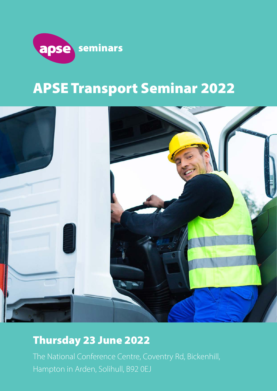

# APSE Transport Seminar 2022



## Thursday 23 June 2022

The National Conference Centre, Coventry Rd, Bickenhill, Hampton in Arden, Solihull, B92 0EJ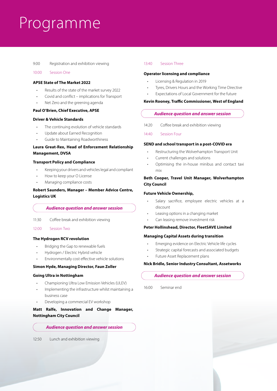# Programme

#### 9:00 Registration and exhibition viewing

10:00 Session One

#### **APSE State of The Market 2022**

- Results of the state of the market survey 2022
- Covid and conflict implications for Transport
- Net Zero and the greening agenda

#### **Paul O'Brien, Chief Executive, APSE**

#### **Driver & Vehicle Standards**

- The continuing evolution of vehicle standards
- Update about Earned Recognition
- Guide to Maintaining Roadworthiness

#### **Laura Great-Rex, Head of Enforcement Relationship Management, DVSA**

#### **Transport Policy and Compliance**

- Keeping your drivers and vehicles legal and compliant
- How to keep your O License
- Managing compliance costs

#### **Robert Saunders, Manager – Member Advice Centre, Logistics UK**

#### *Audience question and answer session*

- 11:30 Coffee break and exhibition viewing
- 12:00 Session Two

#### **The Hydrogen RCV revolution**

- Bridging the Gap to renewable fuels
- Hydrogen / Electric Hybrid vehicle
- Environmentally cost effective vehicle solutions

#### **Simon Hyde, Managing Director, Faun Zoller**

#### **Going Ultra in Nottingham**

- Championing Ultra Low Emission Vehicles (ULEV)
- Implementing the infrastructure whilst maintaining a business case
- Developing a commercial EV workshop

#### **Matt Ralfe, Innovation and Change Manager, Nottingham City Council**

#### *Audience question and answer session*

12:50 Lunch and exhibition viewing

#### 13:40 Session Three

#### **Operator licensing and compliance**

- Licensing & Regulation in 2019
- Tyres, Drivers Hours and the Working Time Directive
- Expectations of Local Government for the future

#### **Kevin Rooney, Traffic Commissioner, West of England**

#### *Audience question and answer session*

14:20 Coffee break and exhibition viewing

14:40 Session Four

#### **SEND and school transport in a post-COVID era**

- Restructuring the Wolverhampton Transport Unit
- Current challenges and solutions
- Optimising the in-house minibus and contact taxi mix

#### **Beth Cooper, Travel Unit Manager, Wolverhampton City Council**

#### **Future Vehicle Ownership,**

- Salary sacrifice, employee electric vehicles at a discount
- Leasing options in a changing market
- Can leasing remove investment risk

#### **Peter Hollinshead, Director, FleetSAVE Limited**

#### **Managing Capital Assets during transition**

- Emerging evidence on Electric Vehicle life cycles
- Strategic capital forecasts and associated budgets
- Future Asset Replacement plans

#### **Nick Bridle, Senior Industry Consultant, Assetworks**

#### *Audience question and answer session*

16:00 Seminar end